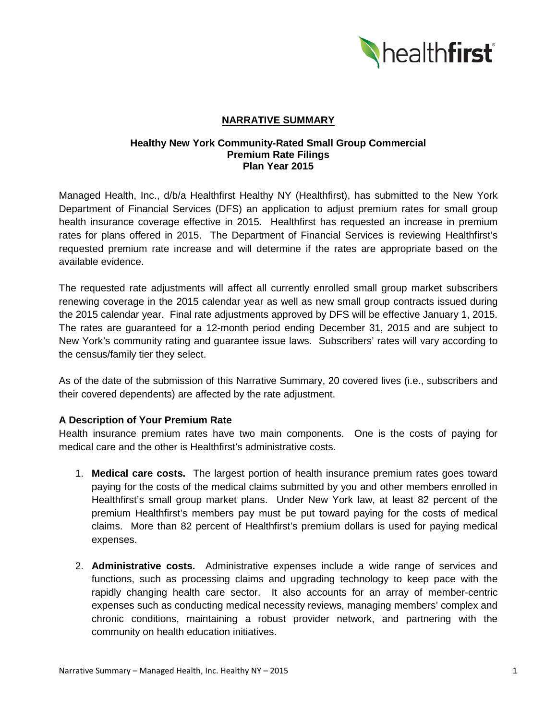

## **NARRATIVE SUMMARY**

### **Healthy New York Community-Rated Small Group Commercial Premium Rate Filings Plan Year 2015**

Managed Health, Inc., d/b/a Healthfirst Healthy NY (Healthfirst), has submitted to the New York Department of Financial Services (DFS) an application to adjust premium rates for small group health insurance coverage effective in 2015. Healthfirst has requested an increase in premium rates for plans offered in 2015. The Department of Financial Services is reviewing Healthfirst's requested premium rate increase and will determine if the rates are appropriate based on the available evidence.

The requested rate adjustments will affect all currently enrolled small group market subscribers renewing coverage in the 2015 calendar year as well as new small group contracts issued during the 2015 calendar year. Final rate adjustments approved by DFS will be effective January 1, 2015. The rates are guaranteed for a 12-month period ending December 31, 2015 and are subject to New York's community rating and guarantee issue laws. Subscribers' rates will vary according to the census/family tier they select.

As of the date of the submission of this Narrative Summary, 20 covered lives (i.e., subscribers and their covered dependents) are affected by the rate adjustment.

# **A Description of Your Premium Rate**

Health insurance premium rates have two main components. One is the costs of paying for medical care and the other is Healthfirst's administrative costs.

- 1. **Medical care costs.** The largest portion of health insurance premium rates goes toward paying for the costs of the medical claims submitted by you and other members enrolled in Healthfirst's small group market plans. Under New York law, at least 82 percent of the premium Healthfirst's members pay must be put toward paying for the costs of medical claims. More than 82 percent of Healthfirst's premium dollars is used for paying medical expenses.
- 2. **Administrative costs.** Administrative expenses include a wide range of services and functions, such as processing claims and upgrading technology to keep pace with the rapidly changing health care sector. It also accounts for an array of member-centric expenses such as conducting medical necessity reviews, managing members' complex and chronic conditions, maintaining a robust provider network, and partnering with the community on health education initiatives.